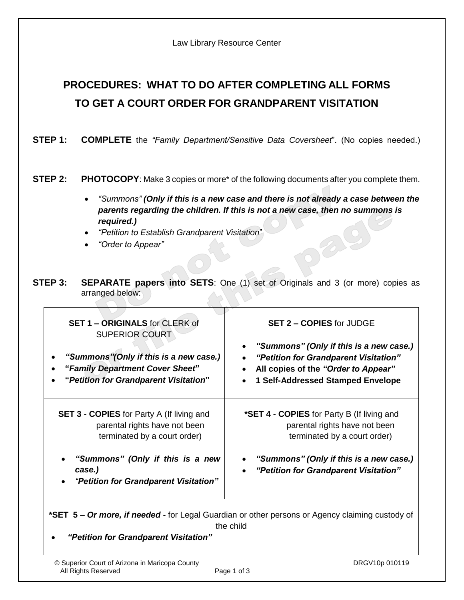| Law Library Resource Center |  |  |
|-----------------------------|--|--|
|-----------------------------|--|--|

# **PROCEDURES: WHAT TO DO AFTER COMPLETING ALL FORMS TO GET A COURT ORDER FOR GRANDPARENT VISITATION**

**STEP 1: COMPLETE** the *"Family Department/Sensitive Data Coversheet*". (No copies needed.)

### **STEP 2:** PHOTOCOPY: Make 3 copies or more<sup>\*</sup> of the following documents after you complete them.

- *"Summons" (Only if this is a new case and there is not already a case between the parents regarding the children. If this is not a new case, then no summons is required.)*
- *"Petition to Establish Grandparent Visitation*"
- *"Order to Appear"*
- **STEP 3: SEPARATE papers into SETS:** One (1) set of Originals and 3 (or more) copies as arranged below:

| SET 1 - ORIGINALS for CLERK of<br><b>SUPERIOR COURT</b><br>"Summons" (Only if this is a new case.)<br>$\bullet$<br>"Family Department Cover Sheet"<br>$\bullet$<br>"Petition for Grandparent Visitation" | <b>SET 2 - COPIES for JUDGE</b><br>"Summons" (Only if this is a new case.)<br>$\bullet$<br>"Petition for Grandparent Visitation"<br>$\bullet$<br>All copies of the "Order to Appear"<br>$\bullet$<br>1 Self-Addressed Stamped Envelope<br>$\bullet$ |  |
|----------------------------------------------------------------------------------------------------------------------------------------------------------------------------------------------------------|-----------------------------------------------------------------------------------------------------------------------------------------------------------------------------------------------------------------------------------------------------|--|
| <b>SET 3 - COPIES</b> for Party A (If living and<br>parental rights have not been<br>terminated by a court order)                                                                                        | *SET 4 - COPIES for Party B (If living and<br>parental rights have not been<br>terminated by a court order)                                                                                                                                         |  |
| "Summons" (Only if this is a new<br>$\bullet$<br>case.)<br>"Petition for Grandparent Visitation"<br>$\bullet$                                                                                            | "Summons" (Only if this is a new case.)<br>$\bullet$<br>"Petition for Grandparent Visitation"<br>$\bullet$                                                                                                                                          |  |
| *SET 5 - Or more, if needed - for Legal Guardian or other persons or Agency claiming custody of                                                                                                          |                                                                                                                                                                                                                                                     |  |

the child

*"Petition for Grandparent Visitation"*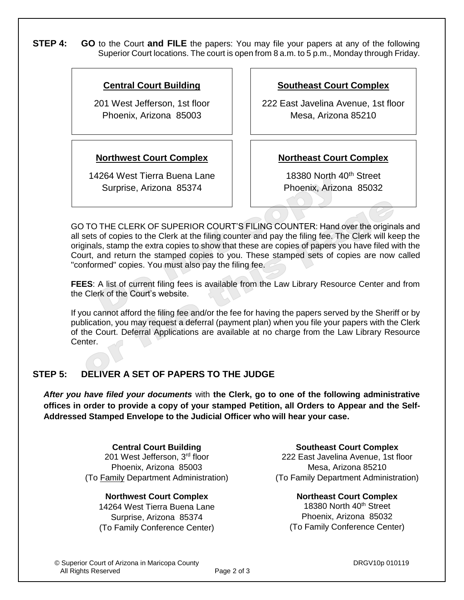**STEP 4: GO** to the Court **and FILE** the papers: You may file your papers at any of the following Superior Court locations. The court is open from 8 a.m. to 5 p.m., Monday through Friday.

### **Central Court Building**

201 West Jefferson, 1st floor Phoenix, Arizona 85003

### **Northwest Court Complex**

14264 West Tierra Buena Lane Surprise, Arizona 85374

### **Southeast Court Complex**

222 East Javelina Avenue, 1st floor Mesa, Arizona 85210

### **Northeast Court Complex**

18380 North 40<sup>th</sup> Street Phoenix, Arizona 85032

GO TO THE CLERK OF SUPERIOR COURT'S FILING COUNTER: Hand over the originals and all sets of copies to the Clerk at the filing counter and pay the filing fee. The Clerk will keep the originals, stamp the extra copies to show that these are copies of papers you have filed with the Court, and return the stamped copies to you. These stamped sets of copies are now called "conformed" copies. You must also pay the filing fee.

**FEES**: A list of current filing fees is available from the Law Library Resource Center and from the Clerk of the Court's website.

If you cannot afford the filing fee and/or the fee for having the papers served by the Sheriff or by publication, you may request a deferral (payment plan) when you file your papers with the Clerk of the Court. Deferral Applications are available at no charge from the Law Library Resource Center.

## **STEP 5: DELIVER A SET OF PAPERS TO THE JUDGE**

*After you have filed your documents* with **the Clerk, go to one of the following administrative offices in order to provide a copy of your stamped Petition, all Orders to Appear and the Self-Addressed Stamped Envelope to the Judicial Officer who will hear your case.**

> **Central Court Building** 201 West Jefferson, 3rd floor Phoenix, Arizona 85003 (To Family Department Administration)

### **Northwest Court Complex**

14264 West Tierra Buena Lane Surprise, Arizona 85374 (To Family Conference Center)

**Southeast Court Complex** 222 East Javelina Avenue, 1st floor Mesa, Arizona 85210 (To Family Department Administration)

**Northeast Court Complex** 18380 North 40<sup>th</sup> Street Phoenix, Arizona 85032 (To Family Conference Center)

© Superior Court of Arizona in Maricopa County DRGV10p 010119 All Rights Reserved Page 2 of 3